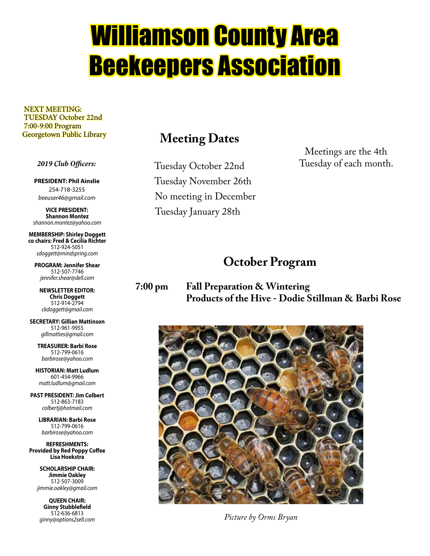# Williamson County Area Beekeepers Association

 NEXT MEETING: TUESDAY October 22nd 7:00-9:00 Program Georgetown Public Library

#### *2019 Club Officers:*

**PRESIDENT: Phil Ainslie** 254-718-3255 *beeuser46@gmail.com*

**VICE PRESIDENT: Shannon Montez** *shannon.montez@yahoo.com*

**MEMBERSHIP: Shirley Doggett co chairs: Fred & Cecilia Richter** 512-924-5051 *sdoggett@mindspring.com*

**PROGRAM: Jennifer Shear** 512-507-7746 *jennifer.shear@dell.com*

**NEWSLETTER EDITOR: Chris Doggett** 512-914-2794 *ckdoggett@gmail.com*

**SECRETARY: Gillian Mattinson** 512-961-9955 *gillmatties@gmail.com*

> **TREASURER: Barbi Rose** 512-799-0616 *barbirose@yahoo.com*

**HISTORIAN: Matt Ludlum** 601-454-9966 *matt.ludlum@gmail.com*

**PAST PRESIDENT: Jim Colbert** 512-863-7183 *colbertj@hotmail.com*

> **LIBRARIAN: Barbi Rose** 512-799-0616 *barbirose@yahoo.com*

**REFRESHMENTS: Provided by Red Poppy Coffee Lisa Hoekstra**

> **SCHOLARSHIP CHAIR: Jimmie Oakley** 512-507-3009 *jimmie.oakley@gmail.com*

**QUEEN CHAIR: Ginny Stubblefield** 512-636-6813 *ginny@options2sell.com*

### **Meeting Dates**

 Tuesday October 22nd Tuesday November 26th No meeting in December Tuesday January 28th

Meetings are the 4th Tuesday of each month.

### **October Program**

**7:00 pm Fall Preparation & Wintering Products of the Hive - Dodie Stillman & Barbi Rose**



*Picture by Orms Bryan*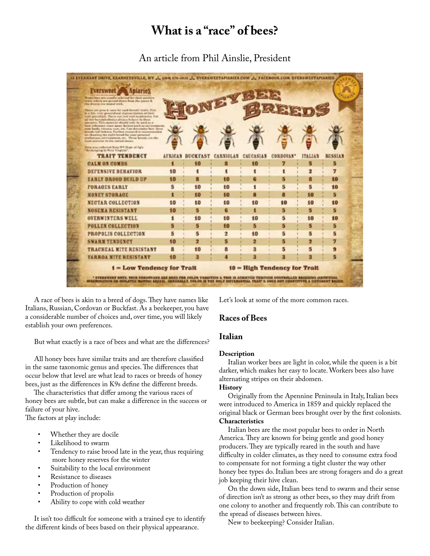### **What is a "race" of bees?**

An article from Phil Ainslie, President

| <b>AVERWEEK</b><br>Roser/Stev are unsaft advised he those positive<br>tratta which any guessel duwn how the court &<br>the drawers site stated with.<br>There are gone & cons for cards hereofal teatre. This<br>le a fute, vors greensdund representation of their<br>lively particularly. The or are just teall teachership, flor-<br>all last bemely bulment about a behave in those<br>Marxisory, This enabrilal should teals be used as a. | NEYS |                       |          |                  |                              |                |                |
|-------------------------------------------------------------------------------------------------------------------------------------------------------------------------------------------------------------------------------------------------------------------------------------------------------------------------------------------------------------------------------------------------------------------------------------------------|------|-----------------------|----------|------------------|------------------------------|----------------|----------------|
| have industrially states meant factors such as ex-treasur<br>mite bases, virtuous care, sie, Can determine hem these<br>lined; infi lobara. Further reasons is recommended<br>an elsewhop the eight trived for your personal.<br>prachesase, newsatement, etc. These hounds out the<br><b>Bridge painteries for the contrad chiran.</b><br>Point was cultured from WV Units of ACe<br>"Benkrepting in their Virginia".                          |      |                       |          |                  |                              |                |                |
| <b>TRAIT TENDENCY</b>                                                                                                                                                                                                                                                                                                                                                                                                                           |      | <b>AFRICAN BUCKFA</b> |          | <b>CAUCASIAN</b> | <b>CORDOVAN</b> *            | <b>ITALIAN</b> | <b>RUSSIAN</b> |
| <b>CALM ON COMBS</b>                                                                                                                                                                                                                                                                                                                                                                                                                            | п    | 10                    | в        | 10               | 7                            | ы              | 5              |
| <b>DEFENSIVE BEHAVIOR</b>                                                                                                                                                                                                                                                                                                                                                                                                                       | 10   | 1                     |          |                  |                              |                | 7              |
| <b>EARLY BROOD BEILD UP</b>                                                                                                                                                                                                                                                                                                                                                                                                                     | 10   | п                     | 10       |                  |                              | я              | 10             |
| <b>FORAGES EARLY</b>                                                                                                                                                                                                                                                                                                                                                                                                                            | Б    | 10                    | 10       |                  | 5                            | в              | 10             |
| <b>HONEY STORAGE</b>                                                                                                                                                                                                                                                                                                                                                                                                                            | п    | 10                    | 10       | п                | п                            | 10             | в              |
| NECTAR COLLECTION                                                                                                                                                                                                                                                                                                                                                                                                                               | 10   | 10                    | 10       | 10               | 10                           | 10             | 10             |
| <b>NOSEMA RESISTANT</b>                                                                                                                                                                                                                                                                                                                                                                                                                         | 10   | 6                     | G        | п                | 5                            | в              | Б              |
| <b>OVERWINTERS WELL</b>                                                                                                                                                                                                                                                                                                                                                                                                                         |      | 10                    | 10       | 10               | 5                            | 10             | 10             |
| <b>POLLEN COLLECTION</b>                                                                                                                                                                                                                                                                                                                                                                                                                        | 5    | 5                     | 10       | 15               | 5                            | 6              | 5              |
| PROPOLIS COLLECTION                                                                                                                                                                                                                                                                                                                                                                                                                             | 5    | 6                     | 2        | 10               | 5                            | 5              | 5              |
| <b>SWARM TEXDENCY</b>                                                                                                                                                                                                                                                                                                                                                                                                                           | 10   | 2                     | 5        | 2                | 5                            | 2              | 7              |
| <b>TRACHEAL MITE RESISTANT</b>                                                                                                                                                                                                                                                                                                                                                                                                                  | я    | 10                    | <b>B</b> | з                | 5                            | 5              |                |
| <b>VARROA MITE RESISTANT</b>                                                                                                                                                                                                                                                                                                                                                                                                                    | 10   | я                     |          | п                |                              | п              | G              |
| <b>1 - Low Tendency for Trait</b>                                                                                                                                                                                                                                                                                                                                                                                                               |      |                       |          |                  | 10 = High Tendency for Trait |                |                |

 A race of bees is akin to a breed of dogs. They have names like Italians, Russian, Cordovan or Buckfast. As a beekeeper, you have a considerable number of choices and, over time, you will likely establish your own preferences.

But what exactly is a race of bees and what are the differences?

 All honey bees have similar traits and are therefore classified in the same taxonomic genus and species. The differences that occur below that level are what lead to races or breeds of honey bees, just as the differences in K9s define the different breeds.

 The characteristics that differ among the various races of honey bees are subtle, but can make a difference in the success or failure of your hive.

The factors at play include:

- Whether they are docile
- Likelihood to swarm
- Tendency to raise brood late in the year, thus requiring more honey reserves for the winter
- Suitability to the local environment
- Resistance to diseases
- Production of honey
- Production of propolis
- Ability to cope with cold weather

 It isn't too difficult for someone with a trained eye to identify the different kinds of bees based on their physical appearance.

Let's look at some of the more common races.

#### **Races of Bees**

#### **Italian**

#### **Description**

 Italian worker bees are light in color, while the queen is a bit darker, which makes her easy to locate. Workers bees also have alternating stripes on their abdomen.

#### **History**

 Originally from the Apennine Peninsula in Italy, Italian bees were introduced to America in 1859 and quickly replaced the original black or German bees brought over by the first colonists. **Characteristics**

 Italian bees are the most popular bees to order in North America. They are known for being gentle and good honey producers. They are typically reared in the south and have difficulty in colder climates, as they need to consume extra food to compensate for not forming a tight cluster the way other honey bee types do. Italian bees are strong foragers and do a great job keeping their hive clean.

 On the down side, Italian bees tend to swarm and their sense of direction isn't as strong as other bees, so they may drift from one colony to another and frequently rob. This can contribute to the spread of diseases between hives.

New to beekeeping? Consider Italian.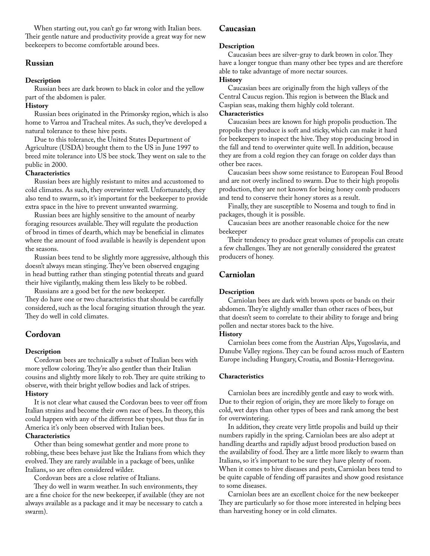When starting out, you can't go far wrong with Italian bees. Their gentle nature and productivity provide a great way for new beekeepers to become comfortable around bees.

#### **Russian**

#### **Description**

 Russian bees are dark brown to black in color and the yellow part of the abdomen is paler.

#### **History**

 Russian bees originated in the Primorsky region, which is also home to Varroa and Tracheal mites. As such, they've developed a natural tolerance to these hive pests.

 Due to this tolerance, the United States Department of Agriculture (USDA) brought them to the US in June 1997 to breed mite tolerance into US bee stock. They went on sale to the public in 2000.

#### **Characteristics**

 Russian bees are highly resistant to mites and accustomed to cold climates. As such, they overwinter well. Unfortunately, they also tend to swarm, so it's important for the beekeeper to provide extra space in the hive to prevent unwanted swarming.

 Russian bees are highly sensitive to the amount of nearby foraging resources available. They will regulate the production of brood in times of dearth, which may be beneficial in climates where the amount of food available is heavily is dependent upon the seasons.

 Russian bees tend to be slightly more aggressive, although this doesn't always mean stinging. They've been observed engaging in head butting rather than stinging potential threats and guard their hive vigilantly, making them less likely to be robbed.

 Russians are a good bet for the new beekeeper. They do have one or two characteristics that should be carefully considered, such as the local foraging situation through the year. They do well in cold climates.

#### **Cordovan**

#### **Description**

 Cordovan bees are technically a subset of Italian bees with more yellow coloring. They're also gentler than their Italian cousins and slightly more likely to rob. They are quite striking to observe, with their bright yellow bodies and lack of stripes. **History**

 It is not clear what caused the Cordovan bees to veer off from Italian strains and become their own race of bees. In theory, this could happen with any of the different bee types, but thus far in America it's only been observed with Italian bees.

#### **Characteristics**

 Other than being somewhat gentler and more prone to robbing, these bees behave just like the Italians from which they evolved. They are rarely available in a package of bees, unlike Italians, so are often considered wilder.

Cordovan bees are a close relative of Italians.

 They do well in warm weather. In such environments, they are a fine choice for the new beekeeper, if available (they are not always available as a package and it may be necessary to catch a swarm).

#### **Caucasian**

#### **Description**

 Caucasian bees are silver-gray to dark brown in color. They have a longer tongue than many other bee types and are therefore able to take advantage of more nectar sources.

#### **History**

 Caucasian bees are originally from the high valleys of the Central Caucus region. This region is between the Black and Caspian seas, making them highly cold tolerant.

#### **Characteristics**

 Caucasian bees are known for high propolis production. The propolis they produce is soft and sticky, which can make it hard for beekeepers to inspect the hive. They stop producing brood in the fall and tend to overwinter quite well. In addition, because they are from a cold region they can forage on colder days than other bee races.

 Caucasian bees show some resistance to European Foul Brood and are not overly inclined to swarm. Due to their high propolis production, they are not known for being honey comb producers and tend to conserve their honey stores as a result.

 Finally, they are susceptible to Nosema and tough to find in packages, though it is possible.

 Caucasian bees are another reasonable choice for the new beekeeper

 Their tendency to produce great volumes of propolis can create a few challenges. They are not generally considered the greatest producers of honey.

#### **Carniolan**

#### **Description**

 Carniolan bees are dark with brown spots or bands on their abdomen. They're slightly smaller than other races of bees, but that doesn't seem to correlate to their ability to forage and bring pollen and nectar stores back to the hive.

#### **History**

 Carniolan bees come from the Austrian Alps, Yugoslavia, and Danube Valley regions. They can be found across much of Eastern Europe including Hungary, Croatia, and Bosnia-Herzegovina.

#### **Characteristics**

 Carniolan bees are incredibly gentle and easy to work with. Due to their region of origin, they are more likely to forage on cold, wet days than other types of bees and rank among the best for overwintering.

 In addition, they create very little propolis and build up their numbers rapidly in the spring. Carniolan bees are also adept at handling dearths and rapidly adjust brood production based on the availability of food. They are a little more likely to swarm than Italians, so it's important to be sure they have plenty of room. When it comes to hive diseases and pests, Carniolan bees tend to be quite capable of fending off parasites and show good resistance to some diseases.

 Carniolan bees are an excellent choice for the new beekeeper They are particularly so for those more interested in helping bees than harvesting honey or in cold climates.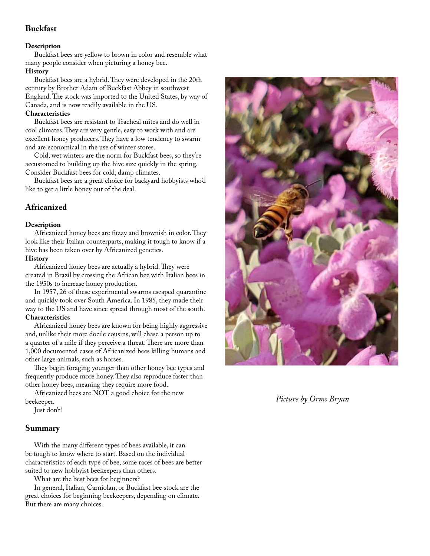#### **Buckfast**

#### **Description**

 Buckfast bees are yellow to brown in color and resemble what many people consider when picturing a honey bee.

#### **History**

 Buckfast bees are a hybrid. They were developed in the 20th century by Brother Adam of Buckfast Abbey in southwest England. The stock was imported to the United States, by way of Canada, and is now readily available in the US.

#### **Characteristics**

 Buckfast bees are resistant to Tracheal mites and do well in cool climates. They are very gentle, easy to work with and are excellent honey producers. They have a low tendency to swarm and are economical in the use of winter stores.

 Cold, wet winters are the norm for Buckfast bees, so they're accustomed to building up the hive size quickly in the spring. Consider Buckfast bees for cold, damp climates.

 Buckfast bees are a great choice for backyard hobbyists who'd like to get a little honey out of the deal.

#### **Africanized**

#### **Description**

 Africanized honey bees are fuzzy and brownish in color. They look like their Italian counterparts, making it tough to know if a hive has been taken over by Africanized genetics.

#### **History**

 Africanized honey bees are actually a hybrid. They were created in Brazil by crossing the African bee with Italian bees in the 1950s to increase honey production.

 In 1957, 26 of these experimental swarms escaped quarantine and quickly took over South America. In 1985, they made their way to the US and have since spread through most of the south.

#### **Characteristics**

 Africanized honey bees are known for being highly aggressive and, unlike their more docile cousins, will chase a person up to a quarter of a mile if they perceive a threat. There are more than 1,000 documented cases of Africanized bees killing humans and other large animals, such as horses.

 They begin foraging younger than other honey bee types and frequently produce more honey. They also reproduce faster than other honey bees, meaning they require more food.

 Africanized bees are NOT a good choice for the new beekeeper.

Just don't!

#### **Summary**

 With the many different types of bees available, it can be tough to know where to start. Based on the individual characteristics of each type of bee, some races of bees are better suited to new hobbyist beekeepers than others.

What are the best bees for beginners?

 In general, Italian, Carniolan, or Buckfast bee stock are the great choices for beginning beekeepers, depending on climate. But there are many choices.



*Picture by Orms Bryan*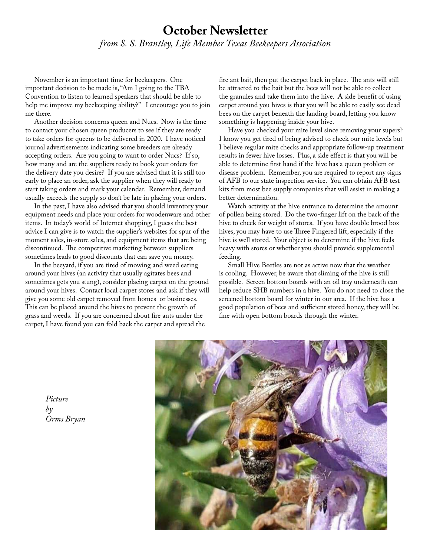### **October Newsletter** *from S. S. Brantley, Life Member Texas Beekeepers Association*

 November is an important time for beekeepers. One important decision to be made is, "Am I going to the TBA Convention to listen to learned speakers that should be able to help me improve my beekeeping ability?" I encourage you to join me there.

 Another decision concerns queen and Nucs. Now is the time to contact your chosen queen producers to see if they are ready to take orders for queens to be delivered in 2020. I have noticed journal advertisements indicating some breeders are already accepting orders. Are you going to want to order Nucs? If so, how many and are the suppliers ready to book your orders for the delivery date you desire? If you are advised that it is still too early to place an order, ask the supplier when they will ready to start taking orders and mark your calendar. Remember, demand usually exceeds the supply so don't be late in placing your orders.

 In the past, I have also advised that you should inventory your equipment needs and place your orders for woodenware and other items. In today's world of Internet shopping, I guess the best advice I can give is to watch the supplier's websites for spur of the moment sales, in-store sales, and equipment items that are being discontinued. The competitive marketing between suppliers sometimes leads to good discounts that can save you money.

 In the beeyard, if you are tired of mowing and weed eating around your hives (an activity that usually agitates bees and sometimes gets you stung), consider placing carpet on the ground around your hives. Contact local carpet stores and ask if they will give you some old carpet removed from homes or businesses. This can be placed around the hives to prevent the growth of grass and weeds. If you are concerned about fire ants under the carpet, I have found you can fold back the carpet and spread the

fire ant bait, then put the carpet back in place. The ants will still be attracted to the bait but the bees will not be able to collect the granules and take them into the hive. A side benefit of using carpet around you hives is that you will be able to easily see dead bees on the carpet beneath the landing board, letting you know something is happening inside your hive.

 Have you checked your mite level since removing your supers? I know you get tired of being advised to check our mite levels but I believe regular mite checks and appropriate follow-up treatment results in fewer hive losses. Plus, a side effect is that you will be able to determine first hand if the hive has a queen problem or disease problem. Remember, you are required to report any signs of AFB to our state inspection service. You can obtain AFB test kits from most bee supply companies that will assist in making a better determination.

 Watch activity at the hive entrance to determine the amount of pollen being stored. Do the two-finger lift on the back of the hive to check for weight of stores. If you have double brood box hives, you may have to use Three Fingered lift, especially if the hive is well stored. Your object is to determine if the hive feels heavy with stores or whether you should provide supplemental feeding.

 Small Hive Beetles are not as active now that the weather is cooling. However, be aware that sliming of the hive is still possible. Screen bottom boards with an oil tray underneath can help reduce SHB numbers in a hive. You do not need to close the screened bottom board for winter in our area. If the hive has a good population of bees and sufficient stored honey, they will be fine with open bottom boards through the winter.



*Picture by Orms Bryan*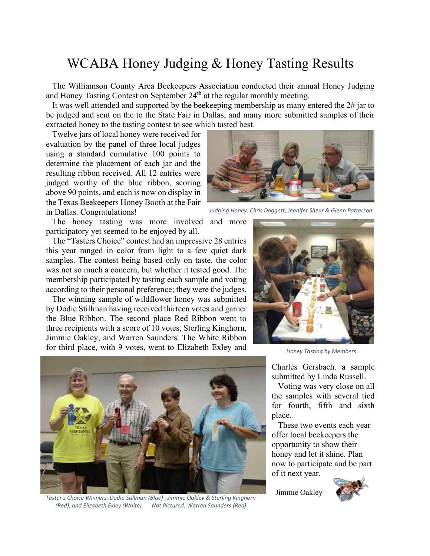### WCABA Honey Judging & Honey Tasting Results

 The Williamson County Area Beekeepers Association conducted their annual Honey Judging and Honey Tasting Contest on September  $24<sup>th</sup>$  at the regular monthly meeting.

 It was well attended and supported by the beekeeping membership as many entered the 2# jar to be judged and sent on the to the State Fair in Dallas, and many more submitted samples of their extracted honey to the tasting contest to see which tasted best.

Twelve jars of local honey were received for

evaluation by the panel of three local judges using a standard cumulative 100 points to determine the placement of each jar and the resulting ribbon received. All 12 entries were judged worthy of the blue ribbon, scoring above 90 points, and each is now on display in the Texas Beekeepers Honey Booth at the Fair in Dallas. Congratulations!

 The honey tasting was more involved and more participatory yet seemed to be enjoyed by all.

 The "Tasters Choice" contest had an impressive 28 entries this year ranged in color from light to a few quiet dark samples. The contest being based only on taste, the color was not so much a concern, but whether it tested good. The membership participated by tasting each sample and voting according to their personal preference; they were the judges.

 The winning sample of wildflower honey was submitted by Dodie Stillman having received thirteen votes and garner the Blue Ribbon. The second place Red Ribbon went to three recipients with a score of 10 votes, Sterling Kinghorn, Jimmie Oakley, and Warren Saunders. The White Ribbon for third place, with 9 votes, went to Elizabeth Exley and



*Taster's Choice Winners: Dodie Stillman (Blue) , Jimmie Oakley & Sterling Kinghorn (Red), and Elizabeth Exley (White) Not Pictured: Warren Saunders (Red)*

*Judging Honey: Chris Doggett, Jennifer Shear & Glenn Patterson*



*Honey Tasting by Members*

Charles Gersbach. a sample submitted by Linda Russell.

 Voting was very close on all the samples with several tied for fourth, fifth and sixth place.

 These two events each year offer local beekeepers the opportunity to show their honey and let it shine. Plan now to participate and be part of it next year.

Jimmie Oakley

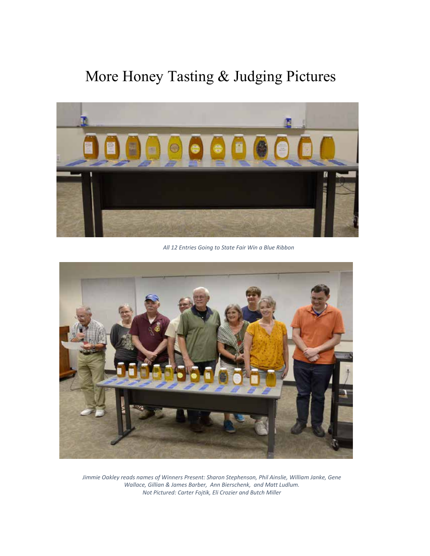## More Honey Tasting & Judging Pictures



*All 12 Entries Going to State Fair Win a Blue Ribbon*



*Jimmie Oakley reads names of Winners Present: Sharon Stephenson, Phil Ainslie, William Janke, Gene Wallace, Gillian & James Barber, Ann Bierschenk, and Matt Ludlum. Not Pictured: Carter Fojtik, Eli Crozier and Butch Miller*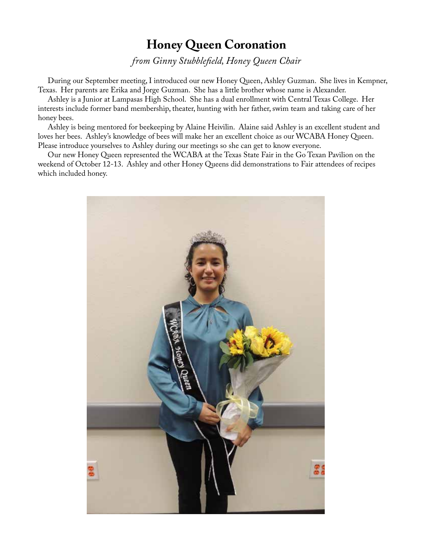### **Honey Queen Coronation**

*from Ginny Stubblefield, Honey Queen Chair*

 During our September meeting, I introduced our new Honey Queen, Ashley Guzman. She lives in Kempner, Texas. Her parents are Erika and Jorge Guzman. She has a little brother whose name is Alexander.

 Ashley is a Junior at Lampasas High School. She has a dual enrollment with Central Texas College. Her interests include former band membership, theater, hunting with her father, swim team and taking care of her honey bees.

 Ashley is being mentored for beekeeping by Alaine Heivilin. Alaine said Ashley is an excellent student and loves her bees. Ashley's knowledge of bees will make her an excellent choice as our WCABA Honey Queen. Please introduce yourselves to Ashley during our meetings so she can get to know everyone.

 Our new Honey Queen represented the WCABA at the Texas State Fair in the Go Texan Pavilion on the weekend of October 12-13. Ashley and other Honey Queens did demonstrations to Fair attendees of recipes which included honey.

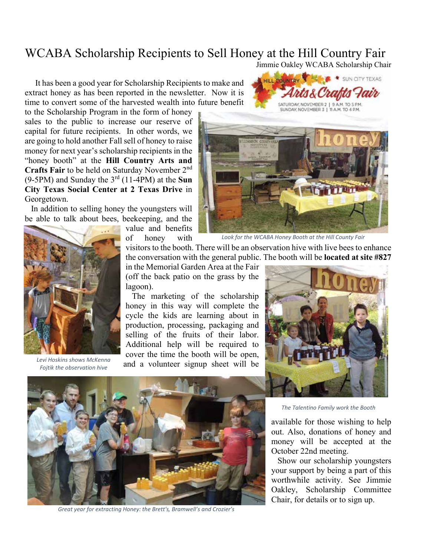### WCABA Scholarship Recipients to Sell Honey at the Hill Country Fair

Jimmie Oakley WCABA Scholarship Chair

SUN CITY TEXAS

 It has been a good year for Scholarship Recipients to make and extract honey as has been reported in the newsletter. Now it is time to convert some of the harvested wealth into future benefit

to the Scholarship Program in the form of honey sales to the public to increase our reserve of capital for future recipients. In other words, we are going to hold another Fall sell of honey to raise money for next year's scholarship recipients in the "honey booth" at the **Hill Country Arts and Crafts Fair** to be held on Saturday November 2nd (9-5PM) and Sunday the 3rd (11-4PM) at the **Sun City Texas Social Center at 2 Texas Drive** in Georgetown.

 In addition to selling honey the youngsters will be able to talk about bees, beekeeping, and the



of honey with



HILL COUNTRY

*Look for the WCABA Honey Booth at the Hill County Fair*



*Levi Hoskins shows McKenna Fojtik the observation hive*

visitors to the booth. There will be an observation hive with live bees to enhance the conversation with the general public. The booth will be **located at site #827** 

in the Memorial Garden Area at the Fair (off the back patio on the grass by the lagoon).

 The marketing of the scholarship honey in this way will complete the cycle the kids are learning about in production, processing, packaging and selling of the fruits of their labor. Additional help will be required to cover the time the booth will be open, and a volunteer signup sheet will be





*Great year for extracting Honey: the Brett's, Bramwell's and Crozier's*

*The Talentino Family work the Booth*

available for those wishing to help out. Also, donations of honey and money will be accepted at the October 22nd meeting.

 Show our scholarship youngsters your support by being a part of this worthwhile activity. See Jimmie Oakley, Scholarship Committee Chair, for details or to sign up.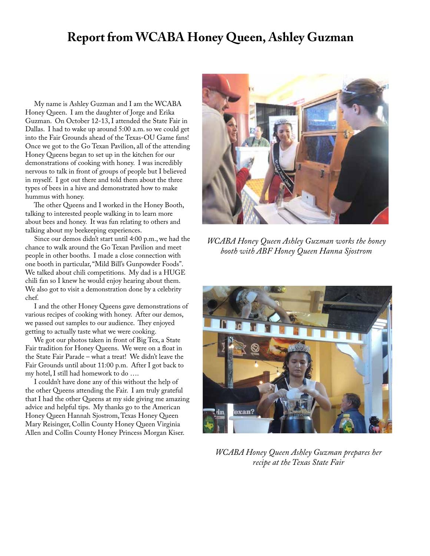### **Report from WCABA Honey Queen, Ashley Guzman**

 My name is Ashley Guzman and I am the WCABA Honey Queen. I am the daughter of Jorge and Erika Guzman. On October 12-13, I attended the State Fair in Dallas. I had to wake up around 5:00 a.m. so we could get into the Fair Grounds ahead of the Texas-OU Game fans! Once we got to the Go Texan Pavilion, all of the attending Honey Queens began to set up in the kitchen for our demonstrations of cooking with honey. I was incredibly nervous to talk in front of groups of people but I believed in myself. I got out there and told them about the three types of bees in a hive and demonstrated how to make hummus with honey.

 The other Queens and I worked in the Honey Booth, talking to interested people walking in to learn more about bees and honey. It was fun relating to others and talking about my beekeeping experiences.

 Since our demos didn't start until 4:00 p.m., we had the chance to walk around the Go Texan Pavilion and meet people in other booths. I made a close connection with one booth in particular, "Mild Bill's Gunpowder Foods". We talked about chili competitions. My dad is a HUGE chili fan so I knew he would enjoy hearing about them. We also got to visit a demonstration done by a celebrity chef.

 I and the other Honey Queens gave demonstrations of various recipes of cooking with honey. After our demos, we passed out samples to our audience. They enjoyed getting to actually taste what we were cooking.

 We got our photos taken in front of Big Tex, a State Fair tradition for Honey Queens. We were on a float in the State Fair Parade – what a treat! We didn't leave the Fair Grounds until about 11:00 p.m. After I got back to my hotel, I still had homework to do ….

 I couldn't have done any of this without the help of the other Queens attending the Fair. I am truly grateful that I had the other Queens at my side giving me amazing advice and helpful tips. My thanks go to the American Honey Queen Hannah Sjostrom, Texas Honey Queen Mary Reisinger, Collin County Honey Queen Virginia Allen and Collin County Honey Princess Morgan Kiser.



*WCABA Honey Queen Ashley Guzman works the honey booth with ABF Honey Queen Hanna Sjostrom*



*WCABA Honey Queen Ashley Guzman prepares her recipe at the Texas State Fair*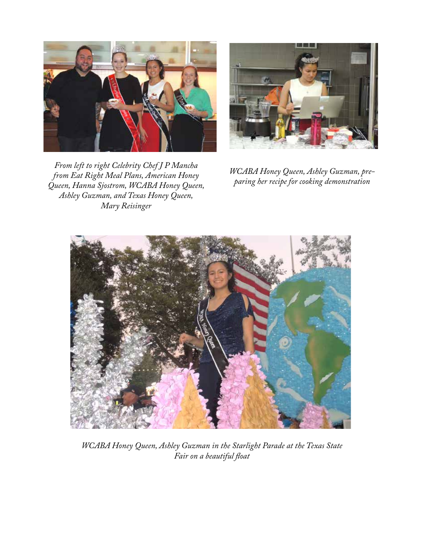



*From left to right Celebrity Chef J P Mancha from Eat Right Meal Plans, American Honey Queen, Hanna Sjostrom, WCABA Honey Queen, Ashley Guzman, and Texas Honey Queen, Mary Reisinger*

*WCABA Honey Queen, Ashley Guzman, preparing her recipe for cooking demonstration*



*WCABA Honey Queen, Ashley Guzman in the Starlight Parade at the Texas State Fair on a beautiful float*